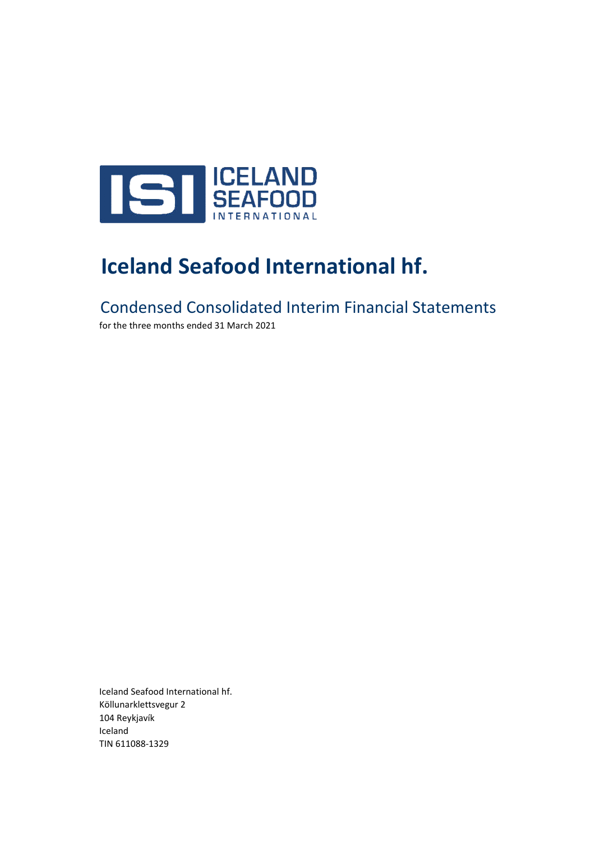

# **Iceland Seafood International hf.**

Condensed Consolidated Interim Financial Statements

for the three months ended 31 March 2021

Iceland Seafood International hf. Köllunarklettsvegur 2 104 Reykjavík Iceland TIN 611088-1329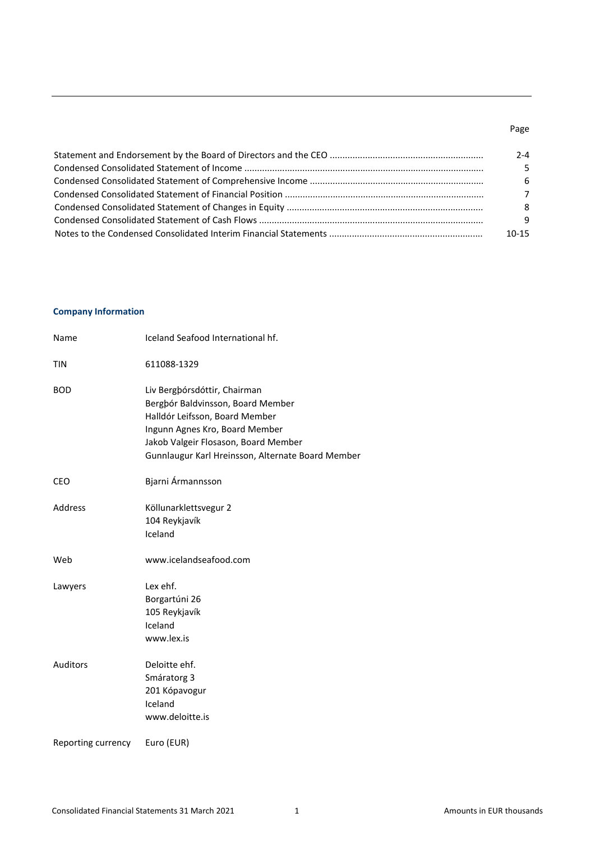### Page

| 2-4            |
|----------------|
| 5.             |
| -6             |
| $\overline{7}$ |
| 8              |
| -9             |
| $10 - 15$      |

### **Company Information**

| Name               | Iceland Seafood International hf.                                                                                                                                                                                                  |
|--------------------|------------------------------------------------------------------------------------------------------------------------------------------------------------------------------------------------------------------------------------|
| <b>TIN</b>         | 611088-1329                                                                                                                                                                                                                        |
| <b>BOD</b>         | Liv Bergþórsdóttir, Chairman<br>Bergbór Baldvinsson, Board Member<br>Halldór Leifsson, Board Member<br>Ingunn Agnes Kro, Board Member<br>Jakob Valgeir Flosason, Board Member<br>Gunnlaugur Karl Hreinsson, Alternate Board Member |
| CEO                | Bjarni Ármannsson                                                                                                                                                                                                                  |
| Address            | Köllunarklettsvegur 2<br>104 Reykjavík<br>Iceland                                                                                                                                                                                  |
| Web                | www.icelandseafood.com                                                                                                                                                                                                             |
| Lawyers            | Lex ehf.<br>Borgartúni 26<br>105 Reykjavík<br>Iceland<br>www.lex.is                                                                                                                                                                |
| <b>Auditors</b>    | Deloitte ehf.<br>Smáratorg 3<br>201 Kópavogur<br>Iceland<br>www.deloitte.is                                                                                                                                                        |
| Reporting currency | Euro (EUR)                                                                                                                                                                                                                         |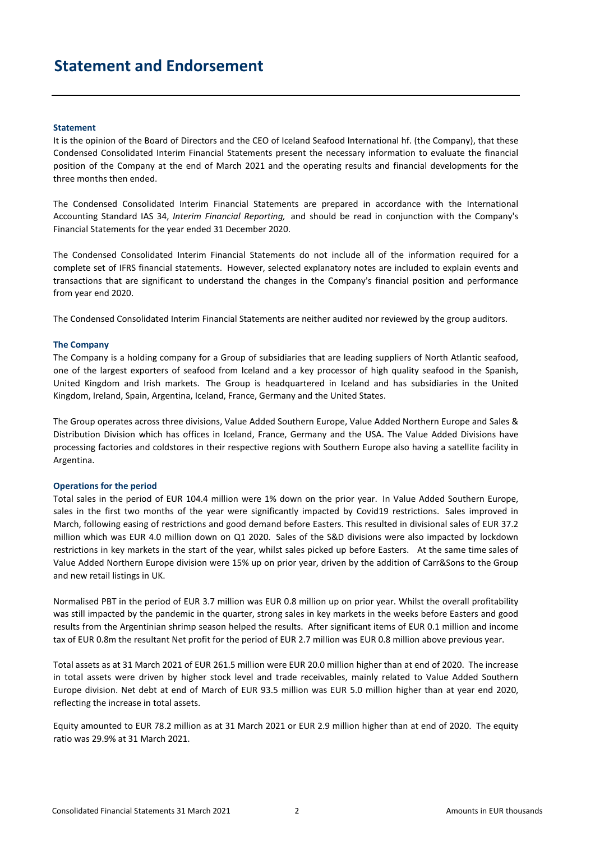### **Statement and Endorsement**

#### **Statement**

It is the opinion of the Board of Directors and the CEO of Iceland Seafood International hf. (the Company), that these Condensed Consolidated Interim Financial Statements present the necessary information to evaluate the financial position of the Company at the end of March 2021 and the operating results and financial developments for the three months then ended.

The Condensed Consolidated Interim Financial Statements are prepared in accordance with the International Accounting Standard IAS 34, *Interim Financial Reporting,* and should be read in conjunction with the Company's Financial Statements for the year ended 31 December 2020.

The Condensed Consolidated Interim Financial Statements do not include all of the information required for a complete set of IFRS financial statements. However, selected explanatory notes are included to explain events and transactions that are significant to understand the changes in the Company's financial position and performance from year end 2020.

The Condensed Consolidated Interim Financial Statements are neither audited nor reviewed by the group auditors.

#### **The Company**

The Company is a holding company for a Group of subsidiaries that are leading suppliers of North Atlantic seafood, one of the largest exporters of seafood from Iceland and a key processor of high quality seafood in the Spanish, United Kingdom and Irish markets. The Group is headquartered in Iceland and has subsidiaries in the United Kingdom, Ireland, Spain, Argentina, Iceland, France, Germany and the United States.

The Group operates across three divisions, Value Added Southern Europe, Value Added Northern Europe and Sales & Distribution Division which has offices in Iceland, France, Germany and the USA. The Value Added Divisions have processing factories and coldstores in their respective regions with Southern Europe also having a satellite facility in Argentina.

#### **Operations for the period**

Total sales in the period of EUR 104.4 million were 1% down on the prior year. In Value Added Southern Europe, sales in the first two months of the year were significantly impacted by Covid19 restrictions. Sales improved in March, following easing of restrictions and good demand before Easters. This resulted in divisional sales of EUR 37.2 million which was EUR 4.0 million down on Q1 2020. Sales of the S&D divisions were also impacted by lockdown restrictions in key markets in the start of the year, whilst sales picked up before Easters. At the same time sales of Value Added Northern Europe division were 15% up on prior year, driven by the addition of Carr&Sons to the Group and new retail listings in UK.

Normalised PBT in the period of EUR 3.7 million was EUR 0.8 million up on prior year. Whilst the overall profitability was still impacted by the pandemic in the quarter, strong sales in key markets in the weeks before Easters and good results from the Argentinian shrimp season helped the results. After significant items of EUR 0.1 million and income tax of EUR 0.8m the resultant Net profit for the period of EUR 2.7 million was EUR 0.8 million above previous year.

Total assets as at 31 March 2021 of EUR 261.5 million were EUR 20.0 million higher than at end of 2020. The increase in total assets were driven by higher stock level and trade receivables, mainly related to Value Added Southern Europe division. Net debt at end of March of EUR 93.5 million was EUR 5.0 million higher than at year end 2020, reflecting the increase in total assets.

Equity amounted to EUR 78.2 million as at 31 March 2021 or EUR 2.9 million higher than at end of 2020. The equity ratio was 29.9% at 31 March 2021.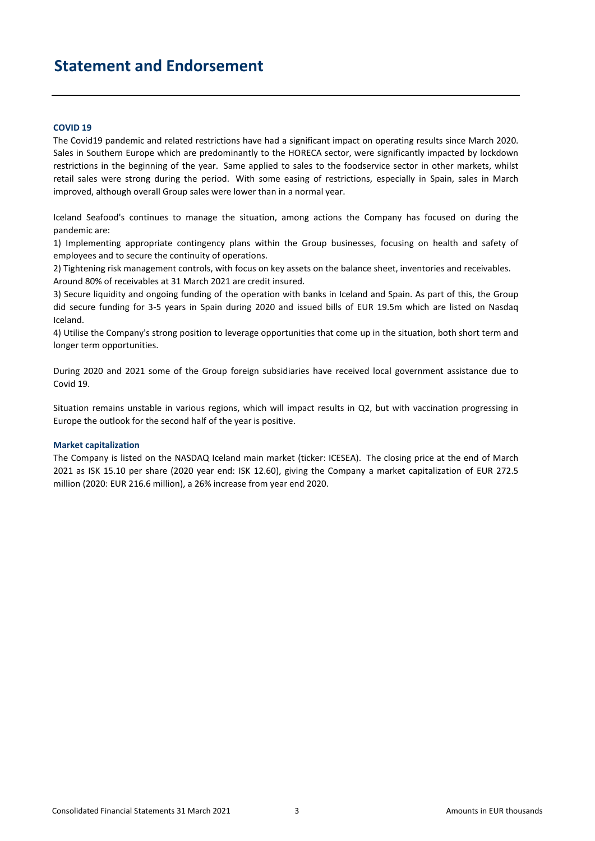### **Statement and Endorsement**

#### **COVID 19**

The Covid19 pandemic and related restrictions have had a significant impact on operating results since March 2020. Sales in Southern Europe which are predominantly to the HORECA sector, were significantly impacted by lockdown restrictions in the beginning of the year. Same applied to sales to the foodservice sector in other markets, whilst retail sales were strong during the period. With some easing of restrictions, especially in Spain, sales in March improved, although overall Group sales were lower than in a normal year.

Iceland Seafood's continues to manage the situation, among actions the Company has focused on during the pandemic are:

1) Implementing appropriate contingency plans within the Group businesses, focusing on health and safety of employees and to secure the continuity of operations.

2) Tightening risk management controls, with focus on key assets on the balance sheet, inventories and receivables. Around 80% of receivables at 31 March 2021 are credit insured.

3) Secure liquidity and ongoing funding of the operation with banks in Iceland and Spain. As part of this, the Group did secure funding for 3-5 years in Spain during 2020 and issued bills of EUR 19.5m which are listed on Nasdaq Iceland.

4) Utilise the Company's strong position to leverage opportunities that come up in the situation, both short term and longer term opportunities.

During 2020 and 2021 some of the Group foreign subsidiaries have received local government assistance due to Covid 19.

Situation remains unstable in various regions, which will impact results in Q2, but with vaccination progressing in Europe the outlook for the second half of the year is positive.

#### **Market capitalization**

The Company is listed on the NASDAQ Iceland main market (ticker: ICESEA). The closing price at the end of March 2021 as ISK 15.10 per share (2020 year end: ISK 12.60), giving the Company a market capitalization of EUR 272.5 million (2020: EUR 216.6 million), a 26% increase from year end 2020.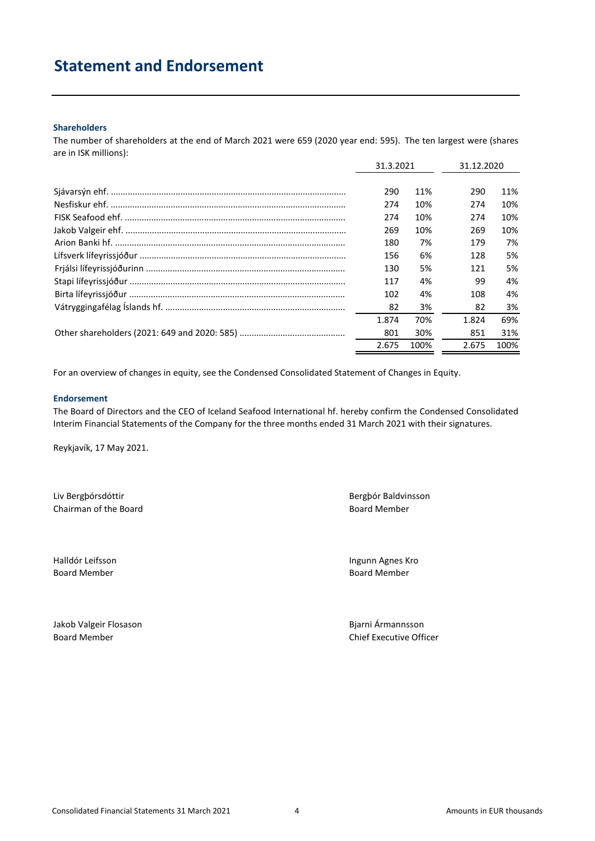### **Statement and Endorsement**

### **Shareholders**

The number of shareholders at the end of March 2021 were 659 (2020 year end: 595). The ten largest were (shares are in ISK millions):

| 31.3.2021 |      | 31.12.2020 |      |
|-----------|------|------------|------|
|           |      |            |      |
| 290       | 11%  | 290        | 11%  |
| 274       | 10%  | 274        | 10%  |
| 274       | 10%  | 274        | 10%  |
| 269       | 10%  | 269        | 10%  |
| 180       | 7%   | 179        | 7%   |
| 156       | 6%   | 128        | 5%   |
| 130       | 5%   | 121        | 5%   |
| 117       | 4%   | 99         | 4%   |
| 102       | 4%   | 108        | 4%   |
| 82        | 3%   | 82         | 3%   |
| 1.874     | 70%  | 1.824      | 69%  |
| 801       | 30%  | 851        | 31%  |
| 2.675     | 100% | 2.675      | 100% |

For an overview of changes in equity, see the Condensed Consolidated Statement of Changes in Equity.

#### **Endorsement**

The Board of Directors and the CEO of Iceland Seafood International hf. hereby confirm the Condensed Consolidated Interim Financial Statements of the Company for the three months ended 31 March 2021 with their signatures.

Reykjavík, 17 May 2021.

Liv Bergþórsdóttir Bergþór Baldvinsson Chairman of the Board Board Board Member

Halldór Leifsson Ingunn Agnes Kro Board Member **Board Member** Board Member

Jakob Valgeir Flosason Bjarni Ármannsson

Board Member Chief Executive Officer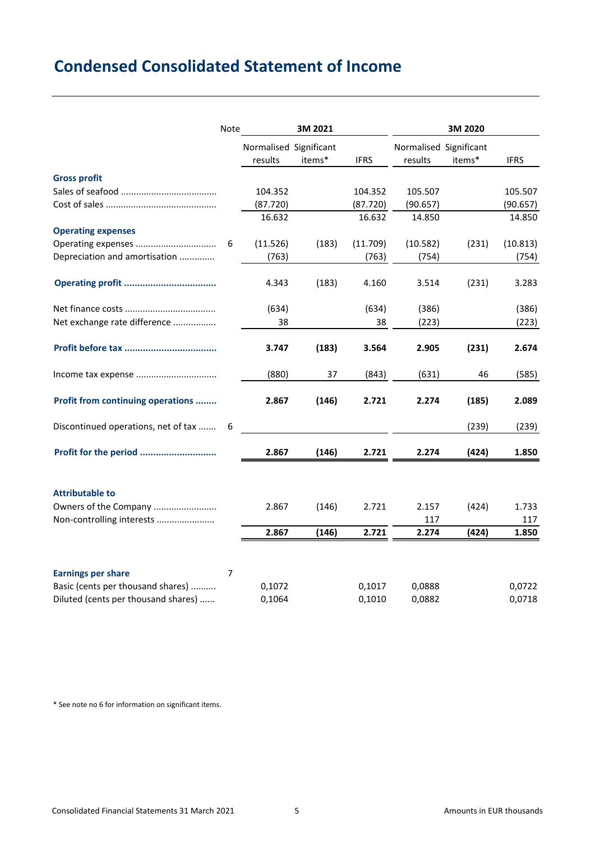# **Condensed Consolidated Statement of Income**

|                                     | Note | 3M 2021                |        |             | 3M 2020                |        |             |  |
|-------------------------------------|------|------------------------|--------|-------------|------------------------|--------|-------------|--|
|                                     |      | Normalised Significant |        |             | Normalised Significant |        |             |  |
|                                     |      | results                | items* | <b>IFRS</b> | results                | items* | <b>IFRS</b> |  |
| <b>Gross profit</b>                 |      |                        |        |             |                        |        |             |  |
|                                     |      | 104.352                |        | 104.352     | 105.507                |        | 105.507     |  |
|                                     |      | (87.720)               |        | (87.720)    | (90.657)               |        | (90.657)    |  |
|                                     |      | 16.632                 |        | 16.632      | 14.850                 |        | 14.850      |  |
| <b>Operating expenses</b>           |      |                        |        |             |                        |        |             |  |
|                                     | 6    | (11.526)               | (183)  | (11.709)    | (10.582)               | (231)  | (10.813)    |  |
| Depreciation and amortisation       |      | (763)                  |        | (763)       | (754)                  |        | (754)       |  |
|                                     |      | 4.343                  | (183)  | 4.160       | 3.514                  | (231)  | 3.283       |  |
|                                     |      | (634)                  |        | (634)       | (386)                  |        | (386)       |  |
| Net exchange rate difference        |      | 38                     |        | 38          | (223)                  |        | (223)       |  |
|                                     |      | 3.747                  | (183)  | 3.564       | 2.905                  | (231)  | 2.674       |  |
|                                     |      | (880)                  | 37     | (843)       | (631)                  | 46     | (585)       |  |
| Profit from continuing operations   |      | 2.867                  | (146)  | 2.721       | 2.274                  | (185)  | 2.089       |  |
| Discontinued operations, net of tax | 6    |                        |        |             |                        | (239)  | (239)       |  |
| Profit for the period               |      | 2.867                  | (146)  | 2.721       | 2.274                  | (424)  | 1.850       |  |
| <b>Attributable to</b>              |      |                        |        |             |                        |        |             |  |
| Owners of the Company               |      | 2.867                  | (146)  | 2.721       | 2.157                  | (424)  | 1.733       |  |
| Non-controlling interests           |      |                        |        |             | 117                    |        | 117         |  |
|                                     |      | 2.867                  | (146)  | 2.721       | 2.274                  | (424)  | 1.850       |  |
|                                     |      |                        |        |             |                        |        |             |  |
| <b>Earnings per share</b>           | 7    |                        |        |             |                        |        |             |  |
| Basic (cents per thousand shares)   |      | 0,1072                 |        | 0,1017      | 0,0888                 |        | 0,0722      |  |
| Diluted (cents per thousand shares) |      | 0,1064                 |        | 0,1010      | 0,0882                 |        | 0,0718      |  |

\* See note no 6 for information on significant items.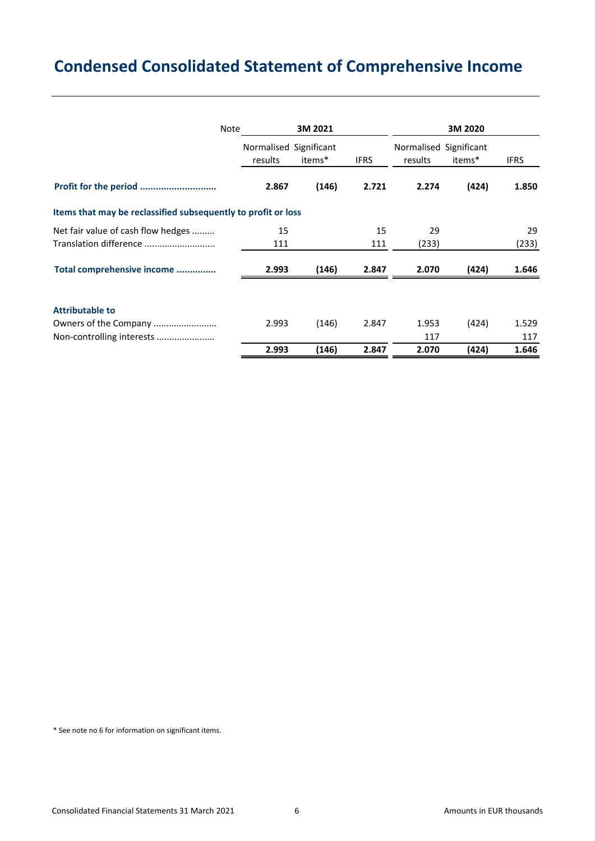# **Condensed Consolidated Statement of Comprehensive Income**

| <b>Note</b>                                                   | 3M 2021                           |        |             | 3M 2020                           |             |       |  |
|---------------------------------------------------------------|-----------------------------------|--------|-------------|-----------------------------------|-------------|-------|--|
|                                                               | Normalised Significant<br>results | items* | <b>IFRS</b> | Normalised Significant<br>results | <b>IFRS</b> |       |  |
|                                                               |                                   |        |             |                                   | items*      |       |  |
| Profit for the period                                         | 2.867                             | (146)  | 2.721       | 2.274                             | (424)       | 1.850 |  |
| Items that may be reclassified subsequently to profit or loss |                                   |        |             |                                   |             |       |  |
| Net fair value of cash flow hedges                            | 15                                |        | 15          | 29                                |             | 29    |  |
| Translation difference                                        | 111                               |        | 111         | (233)                             |             | (233) |  |
| Total comprehensive income                                    | 2.993                             | (146)  | 2.847       | 2.070                             | (424)       | 1.646 |  |
| <b>Attributable to</b>                                        |                                   |        |             |                                   |             |       |  |
| Owners of the Company                                         | 2.993                             | (146)  | 2.847       | 1.953                             | (424)       | 1.529 |  |
| Non-controlling interests                                     |                                   |        |             | 117                               |             | 117   |  |
|                                                               | 2.993                             | (146)  | 2.847       | 2.070                             | (424)       | 1.646 |  |

\* See note no 6 for information on significant items.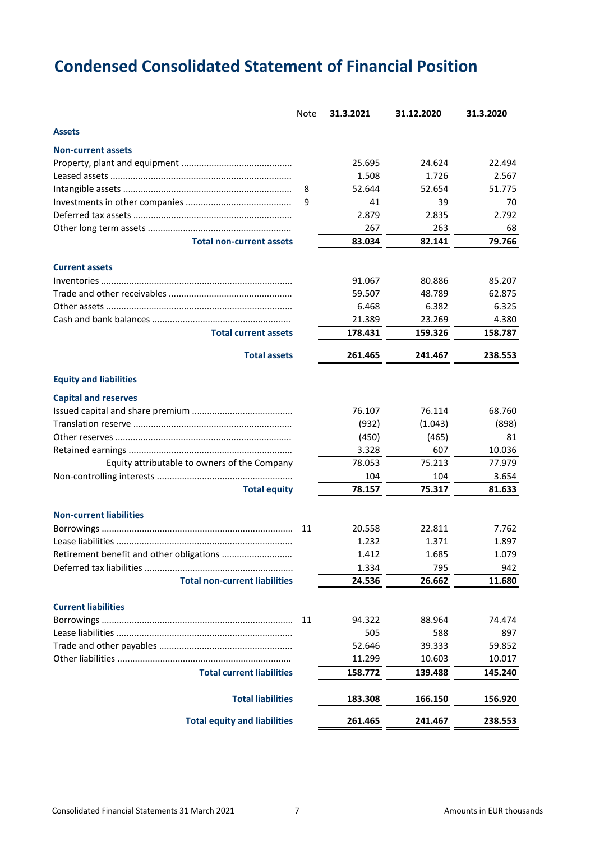# **Condensed Consolidated Statement of Financial Position**

|                                              | Note | 31.3.2021 | 31.12.2020 | 31.3.2020 |
|----------------------------------------------|------|-----------|------------|-----------|
| <b>Assets</b>                                |      |           |            |           |
| <b>Non-current assets</b>                    |      |           |            |           |
|                                              |      | 25.695    | 24.624     | 22.494    |
|                                              |      | 1.508     | 1.726      | 2.567     |
|                                              | 8    | 52.644    | 52.654     | 51.775    |
|                                              | 9    | 41        | 39         | 70        |
|                                              |      | 2.879     | 2.835      | 2.792     |
|                                              |      | 267       | 263        | 68        |
| <b>Total non-current assets</b>              |      | 83.034    | 82.141     | 79.766    |
| <b>Current assets</b>                        |      |           |            |           |
|                                              |      | 91.067    | 80.886     | 85.207    |
|                                              |      | 59.507    | 48.789     | 62.875    |
|                                              |      | 6.468     | 6.382      | 6.325     |
|                                              |      | 21.389    | 23.269     | 4.380     |
| <b>Total current assets</b>                  |      | 178.431   | 159.326    | 158.787   |
| <b>Total assets</b>                          |      | 261.465   | 241.467    | 238.553   |
| <b>Equity and liabilities</b>                |      |           |            |           |
| <b>Capital and reserves</b>                  |      |           |            |           |
|                                              |      | 76.107    | 76.114     | 68.760    |
|                                              |      | (932)     | (1.043)    | (898)     |
|                                              |      | (450)     | (465)      | 81        |
|                                              |      | 3.328     | 607        | 10.036    |
| Equity attributable to owners of the Company |      | 78.053    | 75.213     | 77.979    |
|                                              |      | 104       | 104        | 3.654     |
| <b>Total equity</b>                          |      | 78.157    | 75.317     | 81.633    |
| <b>Non-current liabilities</b>               |      |           |            |           |
|                                              | 11   | 20.558    | 22.811     | 7.762     |
|                                              |      | 1.232     | 1.371      | 1.897     |
|                                              |      | 1.412     | 1.685      | 1.079     |
|                                              |      | 1.334     | 795        | 942       |
| <b>Total non-current liabilities</b>         |      | 24.536    | 26.662     | 11.680    |
| <b>Current liabilities</b>                   |      |           |            |           |
|                                              | 11   | 94.322    | 88.964     | 74.474    |
|                                              |      | 505       | 588        | 897       |
|                                              |      | 52.646    | 39.333     | 59.852    |
|                                              |      | 11.299    | 10.603     | 10.017    |
| <b>Total current liabilities</b>             |      | 158.772   | 139.488    | 145.240   |
| <b>Total liabilities</b>                     |      | 183.308   | 166.150    | 156.920   |
| <b>Total equity and liabilities</b>          |      | 261.465   | 241.467    | 238.553   |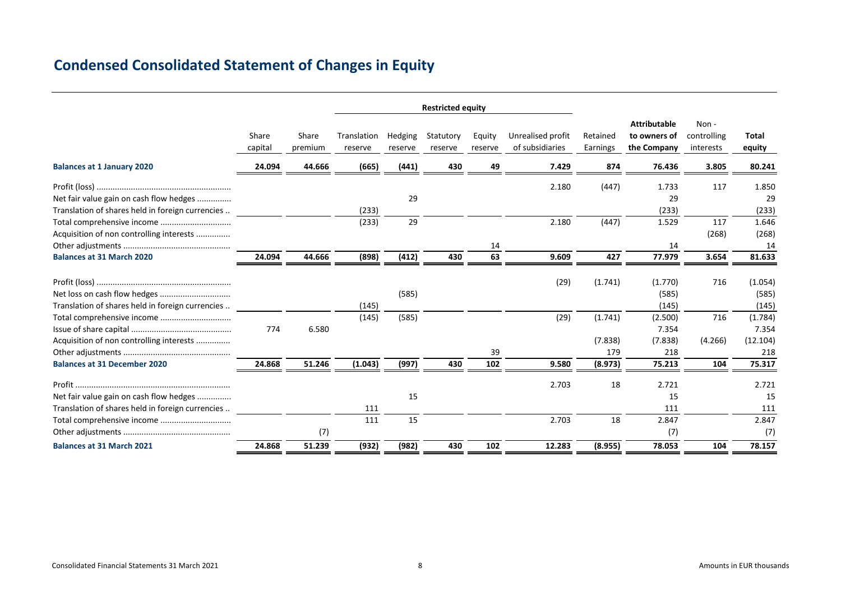### **Condensed Consolidated Statement of Changes in Equity**

|                                                  |                  |                  | <b>Restricted equity</b> |                    |                      |                   |                                      |                      |                                                    |                                  |                 |
|--------------------------------------------------|------------------|------------------|--------------------------|--------------------|----------------------|-------------------|--------------------------------------|----------------------|----------------------------------------------------|----------------------------------|-----------------|
|                                                  | Share<br>capital | Share<br>premium | Translation<br>reserve   | Hedging<br>reserve | Statutory<br>reserve | Equity<br>reserve | Unrealised profit<br>of subsidiaries | Retained<br>Earnings | <b>Attributable</b><br>to owners of<br>the Company | Non-<br>controlling<br>interests | Total<br>equity |
| <b>Balances at 1 January 2020</b>                | 24.094           | 44.666           | (665)                    | (441)              | 430                  | 49                | 7.429                                | 874                  | 76.436                                             | 3.805                            | 80.241          |
|                                                  |                  |                  |                          |                    |                      |                   | 2.180                                | (447)                | 1.733                                              | 117                              | 1.850           |
| Net fair value gain on cash flow hedges          |                  |                  |                          | 29                 |                      |                   |                                      |                      | 29                                                 |                                  | 29              |
| Translation of shares held in foreign currencies |                  |                  | (233)                    |                    |                      |                   |                                      |                      | (233)                                              |                                  | (233)           |
|                                                  |                  |                  | (233)                    | 29                 |                      |                   | 2.180                                | (447)                | 1.529                                              | 117                              | 1.646           |
| Acquisition of non controlling interests         |                  |                  |                          |                    |                      |                   |                                      |                      |                                                    | (268)                            | (268)           |
|                                                  |                  |                  |                          |                    |                      | 14                |                                      |                      | 14                                                 |                                  | 14              |
| <b>Balances at 31 March 2020</b>                 | 24.094           | 44.666           | (898)                    | (412)              | 430                  | 63                | 9.609                                | 427                  | 77.979                                             | 3.654                            | 81.633          |
|                                                  |                  |                  |                          |                    |                      |                   | (29)                                 | (1.741)              | (1.770)                                            | 716                              | (1.054)         |
|                                                  |                  |                  |                          | (585)              |                      |                   |                                      |                      | (585)                                              |                                  | (585)           |
| Translation of shares held in foreign currencies |                  |                  | (145)                    |                    |                      |                   |                                      |                      | (145)                                              |                                  | (145)           |
| Total comprehensive income                       |                  |                  | (145)                    | (585)              |                      |                   | (29)                                 | (1.741)              | (2.500)                                            | 716                              | (1.784)         |
|                                                  | 774              | 6.580            |                          |                    |                      |                   |                                      |                      | 7.354                                              |                                  | 7.354           |
| Acquisition of non controlling interests         |                  |                  |                          |                    |                      |                   |                                      | (7.838)              | (7.838)                                            | (4.266)                          | (12.104)        |
|                                                  |                  |                  |                          |                    |                      | 39                |                                      | 179                  | 218                                                |                                  | 218             |
| <b>Balances at 31 December 2020</b>              | 24.868           | 51.246           | (1.043)                  | (997)              | 430                  | 102               | 9.580                                | (8.973)              | 75.213                                             | 104                              | 75.317          |
|                                                  |                  |                  |                          |                    |                      |                   | 2.703                                | 18                   | 2.721                                              |                                  | 2.721           |
| Net fair value gain on cash flow hedges          |                  |                  |                          | 15                 |                      |                   |                                      |                      | 15                                                 |                                  | 15              |
| Translation of shares held in foreign currencies |                  |                  | 111                      |                    |                      |                   |                                      |                      | 111                                                |                                  | 111             |
| Total comprehensive income                       |                  |                  | 111                      | 15                 |                      |                   | 2.703                                | 18                   | 2.847                                              |                                  | 2.847           |
|                                                  |                  | (7)              |                          |                    |                      |                   |                                      |                      | (7)                                                |                                  | (7)             |
| <b>Balances at 31 March 2021</b>                 | 24.868           | 51.239           | (932)                    | (982)              | 430                  | 102               | 12.283                               | (8.955)              | 78.053                                             | 104                              | 78.157          |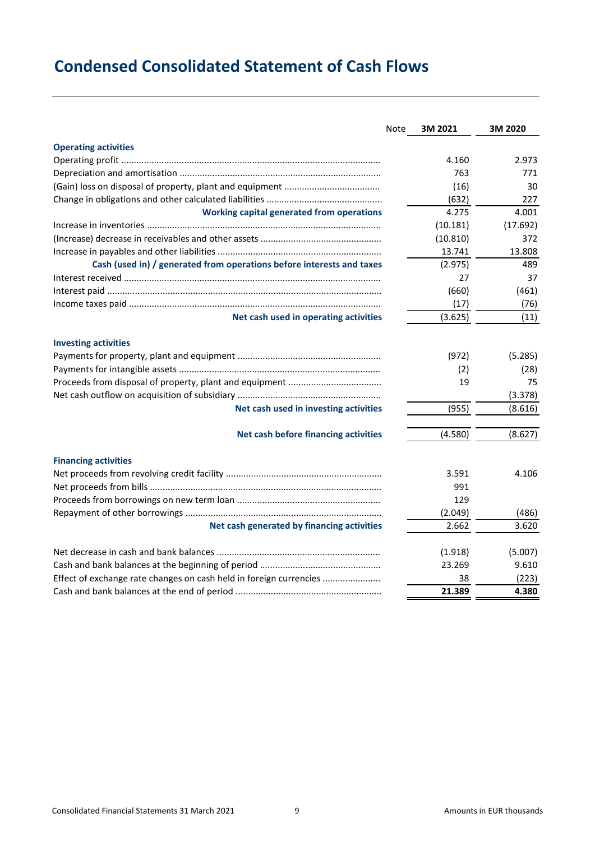# **Condensed Consolidated Statement of Cash Flows**

|                                                                       | Note | 3M 2021  | 3M 2020  |
|-----------------------------------------------------------------------|------|----------|----------|
| <b>Operating activities</b>                                           |      |          |          |
|                                                                       |      | 4.160    | 2.973    |
|                                                                       |      | 763      | 771      |
|                                                                       |      | (16)     | 30       |
|                                                                       |      | (632)    | 227      |
| <b>Working capital generated from operations</b>                      |      | 4.275    | 4.001    |
|                                                                       |      | (10.181) | (17.692) |
|                                                                       |      | (10.810) | 372      |
|                                                                       |      | 13.741   | 13.808   |
| Cash (used in) / generated from operations before interests and taxes |      | (2.975)  | 489      |
|                                                                       |      | 27       | 37       |
|                                                                       |      | (660)    | (461)    |
|                                                                       |      | (17)     | (76)     |
| Net cash used in operating activities                                 |      | (3.625)  | (11)     |
| <b>Investing activities</b>                                           |      |          |          |
|                                                                       |      | (972)    | (5.285)  |
|                                                                       |      | (2)      | (28)     |
|                                                                       |      | 19       | 75       |
|                                                                       |      |          | (3.378)  |
| Net cash used in investing activities                                 |      | (955)    | (8.616)  |
| Net cash before financing activities                                  |      | (4.580)  | (8.627)  |
| <b>Financing activities</b>                                           |      |          |          |
|                                                                       |      | 3.591    | 4.106    |
|                                                                       |      | 991      |          |
|                                                                       |      | 129      |          |
|                                                                       |      | (2.049)  | (486)    |
| Net cash generated by financing activities                            |      | 2.662    | 3.620    |
|                                                                       |      |          |          |
|                                                                       |      | (1.918)  | (5.007)  |
|                                                                       |      | 23.269   | 9.610    |
| Effect of exchange rate changes on cash held in foreign currencies    |      | 38       | (223)    |
|                                                                       |      | 21.389   | 4.380    |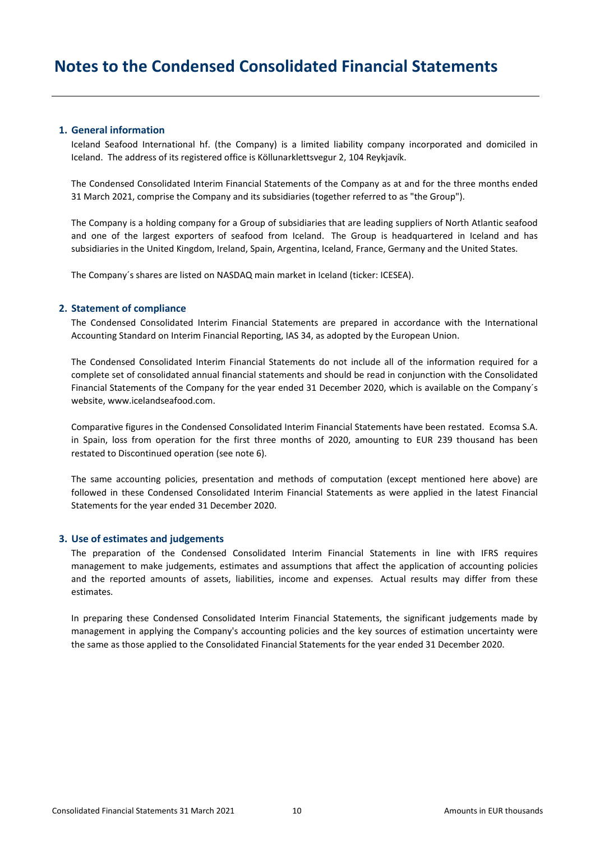### **1. General information**

Iceland Seafood International hf. (the Company) is a limited liability company incorporated and domiciled in Iceland. The address of its registered office is Köllunarklettsvegur 2, 104 Reykjavík.

The Condensed Consolidated Interim Financial Statements of the Company as at and for the three months ended 31 March 2021, comprise the Company and its subsidiaries (together referred to as "the Group").

The Company is a holding company for a Group of subsidiaries that are leading suppliers of North Atlantic seafood and one of the largest exporters of seafood from Iceland. The Group is headquartered in Iceland and has subsidiaries in the United Kingdom, Ireland, Spain, Argentina, Iceland, France, Germany and the United States.

The Company´s shares are listed on NASDAQ main market in Iceland (ticker: ICESEA).

### **2. Statement of compliance**

The Condensed Consolidated Interim Financial Statements are prepared in accordance with the International Accounting Standard on Interim Financial Reporting, IAS 34, as adopted by the European Union.

The Condensed Consolidated Interim Financial Statements do not include all of the information required for a complete set of consolidated annual financial statements and should be read in conjunction with the Consolidated Financial Statements of the Company for the year ended 31 December 2020, which is available on the Company´s website, www.icelandseafood.com.

Comparative figures in the Condensed Consolidated Interim Financial Statements have been restated. Ecomsa S.A. in Spain, loss from operation for the first three months of 2020, amounting to EUR 239 thousand has been restated to Discontinued operation (see note 6).

The same accounting policies, presentation and methods of computation (except mentioned here above) are followed in these Condensed Consolidated Interim Financial Statements as were applied in the latest Financial Statements for the year ended 31 December 2020.

### **3. Use of estimates and judgements**

The preparation of the Condensed Consolidated Interim Financial Statements in line with IFRS requires management to make judgements, estimates and assumptions that affect the application of accounting policies and the reported amounts of assets, liabilities, income and expenses. Actual results may differ from these estimates.

In preparing these Condensed Consolidated Interim Financial Statements, the significant judgements made by management in applying the Company's accounting policies and the key sources of estimation uncertainty were the same as those applied to the Consolidated Financial Statements for the year ended 31 December 2020.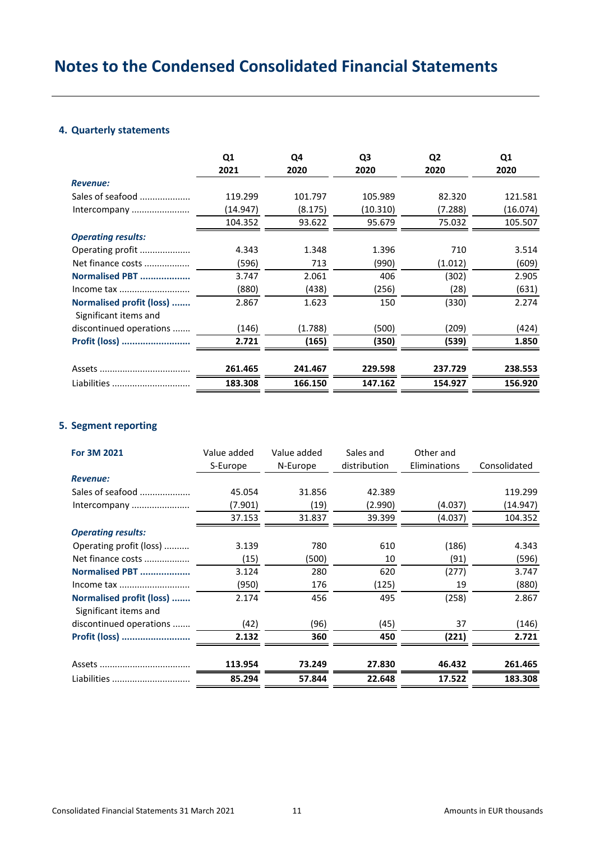### **4. Quarterly statements**

|                                                   | Q1<br>2021 | Q4<br>2020 | Q <sub>3</sub><br>2020 | Q <sub>2</sub><br>2020 | Q <sub>1</sub><br>2020 |
|---------------------------------------------------|------------|------------|------------------------|------------------------|------------------------|
| <b>Revenue:</b>                                   |            |            |                        |                        |                        |
| Sales of seafood                                  | 119.299    | 101.797    | 105.989                | 82.320                 | 121.581                |
| Intercompany                                      | (14.947)   | (8.175)    | (10.310)               | (7.288)                | (16.074)               |
|                                                   | 104.352    | 93.622     | 95.679                 | 75.032                 | 105.507                |
| <b>Operating results:</b>                         |            |            |                        |                        |                        |
| Operating profit                                  | 4.343      | 1.348      | 1.396                  | 710                    | 3.514                  |
| Net finance costs                                 | (596)      | 713        | (990)                  | (1.012)                | (609)                  |
| Normalised PBT                                    | 3.747      | 2.061      | 406                    | (302)                  | 2.905                  |
|                                                   | (880)      | (438)      | (256)                  | (28)                   | (631)                  |
| Normalised profit (loss)<br>Significant items and | 2.867      | 1.623      | 150                    | (330)                  | 2.274                  |
| discontinued operations                           | (146)      | (1.788)    | (500)                  | (209)                  | (424)                  |
| Profit (loss)                                     | 2.721      | (165)      | (350)                  | (539)                  | 1.850                  |
|                                                   | 261.465    | 241.467    | 229.598                | 237.729                | 238.553                |
| Liabilities                                       | 183.308    | 166.150    | 147.162                | 154.927                | 156.920                |

### **5. Segment reporting**

| For 3M 2021                                       | Value added<br>S-Europe | Value added<br>N-Europe | Sales and<br>distribution | Other and<br>Eliminations | Consolidated |
|---------------------------------------------------|-------------------------|-------------------------|---------------------------|---------------------------|--------------|
| <b>Revenue:</b>                                   |                         |                         |                           |                           |              |
| Sales of seafood                                  | 45.054                  | 31.856                  | 42.389                    |                           | 119.299      |
| Intercompany                                      | (7.901)                 | (19)                    | (2.990)                   | (4.037)                   | (14.947)     |
|                                                   | 37.153                  | 31.837                  | 39.399                    | (4.037)                   | 104.352      |
| <b>Operating results:</b>                         |                         |                         |                           |                           |              |
| Operating profit (loss)                           | 3.139                   | 780                     | 610                       | (186)                     | 4.343        |
| Net finance costs                                 | (15)                    | (500)                   | 10                        | (91)                      | (596)        |
| Normalised PBT                                    | 3.124                   | 280                     | 620                       | (277)                     | 3.747        |
| Income tax                                        | (950)                   | 176                     | (125)                     | 19                        | (880)        |
| Normalised profit (loss)<br>Significant items and | 2.174                   | 456                     | 495                       | (258)                     | 2.867        |
| discontinued operations                           | (42)                    | (96)                    | (45)                      | 37                        | (146)        |
| Profit (loss)                                     | 2.132                   | 360                     | 450                       | (221)                     | 2.721        |
|                                                   | 113.954                 | 73.249                  | 27.830                    | 46.432                    | 261.465      |
| Liabilities                                       | 85.294                  | 57.844                  | 22.648                    | 17.522                    | 183.308      |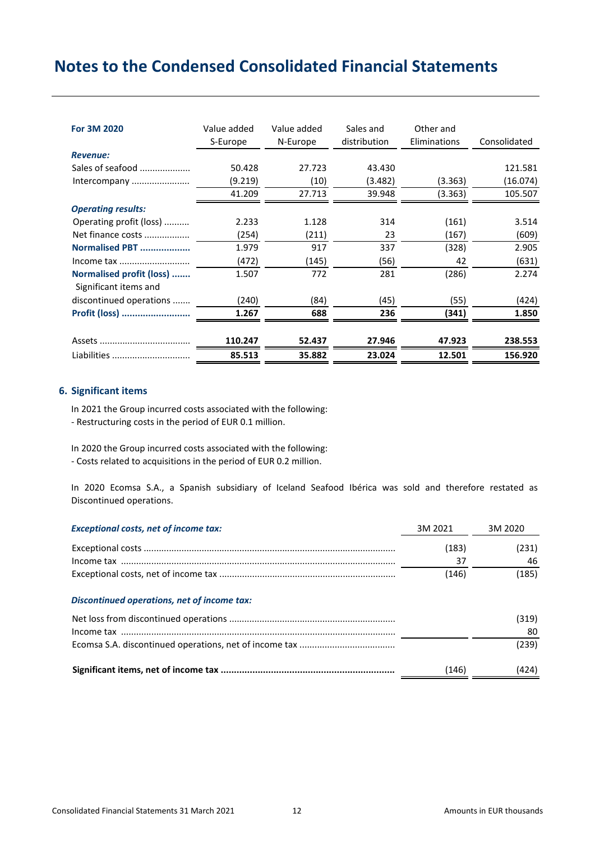| For 3M 2020                                       | Value added<br>S-Europe | Value added<br>N-Europe | Sales and<br>distribution | Other and<br>Eliminations | Consolidated |
|---------------------------------------------------|-------------------------|-------------------------|---------------------------|---------------------------|--------------|
| <b>Revenue:</b>                                   |                         |                         |                           |                           |              |
| Sales of seafood                                  | 50.428                  | 27.723                  | 43.430                    |                           | 121.581      |
| Intercompany                                      | (9.219)                 | (10)                    | (3.482)                   | (3.363)                   | (16.074)     |
|                                                   | 41.209                  | 27.713                  | 39.948                    | (3.363)                   | 105.507      |
| <b>Operating results:</b>                         |                         |                         |                           |                           |              |
| Operating profit (loss)                           | 2.233                   | 1.128                   | 314                       | (161)                     | 3.514        |
| Net finance costs                                 | (254)                   | (211)                   | 23                        | (167)                     | (609)        |
| Normalised PBT                                    | 1.979                   | 917                     | 337                       | (328)                     | 2.905        |
| Income tax                                        | (472)                   | (145)                   | (56)                      | 42                        | (631)        |
| Normalised profit (loss)<br>Significant items and | 1.507                   | 772                     | 281                       | (286)                     | 2.274        |
| discontinued operations                           | (240)                   | (84)                    | (45)                      | (55)                      | (424)        |
| Profit (loss)                                     | 1.267                   | 688                     | 236                       | (341)                     | 1.850        |
|                                                   |                         |                         |                           |                           |              |
|                                                   | 110.247                 | 52.437                  | 27.946                    | 47.923                    | 238.553      |
| Liabilities                                       | 85.513                  | 35.882                  | 23.024                    | 12.501                    | 156.920      |

### **6. Significant items**

In 2021 the Group incurred costs associated with the following:

- Restructuring costs in the period of EUR 0.1 million.

In 2020 the Group incurred costs associated with the following:

- Costs related to acquisitions in the period of EUR 0.2 million.

In 2020 Ecomsa S.A., a Spanish subsidiary of Iceland Seafood Ibérica was sold and therefore restated as Discontinued operations.

| <b>Exceptional costs, net of income tax:</b>                                                                                                                                                                                                                                                                                                                                                                                                  | 3M 2021 | 3M 2020 |
|-----------------------------------------------------------------------------------------------------------------------------------------------------------------------------------------------------------------------------------------------------------------------------------------------------------------------------------------------------------------------------------------------------------------------------------------------|---------|---------|
|                                                                                                                                                                                                                                                                                                                                                                                                                                               | (183)   | (231)   |
|                                                                                                                                                                                                                                                                                                                                                                                                                                               | 37      | 46      |
|                                                                                                                                                                                                                                                                                                                                                                                                                                               | (146)   | (185)   |
| Discontinued operations, net of income tax:                                                                                                                                                                                                                                                                                                                                                                                                   |         |         |
|                                                                                                                                                                                                                                                                                                                                                                                                                                               |         | (319)   |
| $\label{eq:recon} \textsf{Income}\ \textsf{tax}\ \dots\hspace{1.5mm}\dots\hspace{1.5mm}\dots\hspace{1.5mm}\dots\hspace{1.5mm}\dots\hspace{1.5mm}\dots\hspace{1.5mm}\dots\hspace{1.5mm}\dots\hspace{1.5mm}\dots\hspace{1.5mm}\dots\hspace{1.5mm}\dots\hspace{1.5mm}\dots\hspace{1.5mm}\dots\hspace{1.5mm}\dots\hspace{1.5mm}\dots\hspace{1.5mm}\dots\hspace{1.5mm}\dots\hspace{1.5mm}\dots\hspace{1.5mm}\dots\hspace{1.5mm}\dots\hspace{1.5mm$ |         | 80      |
|                                                                                                                                                                                                                                                                                                                                                                                                                                               |         | (239)   |
|                                                                                                                                                                                                                                                                                                                                                                                                                                               | (146)   | (424)   |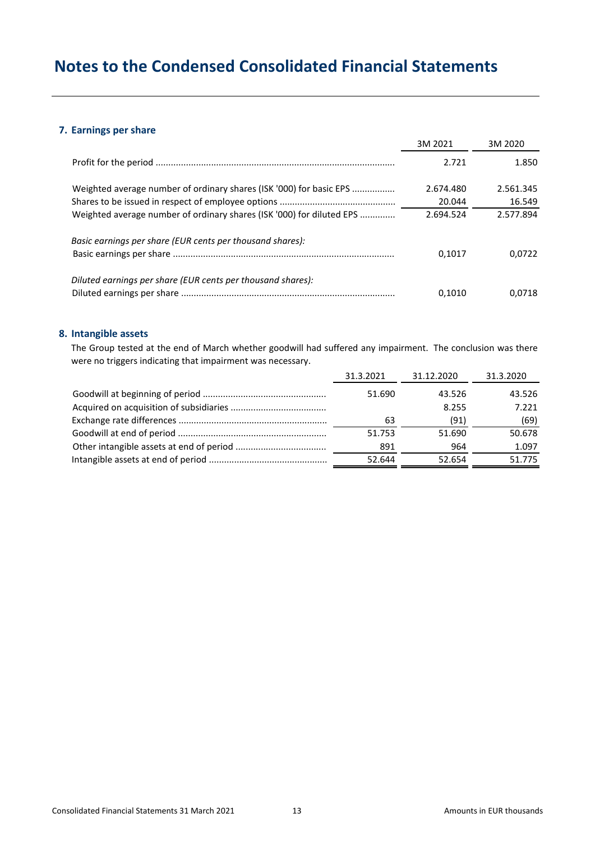### **7. Earnings per share**

|                                                                       | 3M 2021   | 3M 2020   |
|-----------------------------------------------------------------------|-----------|-----------|
|                                                                       | 2.721     | 1.850     |
| Weighted average number of ordinary shares (ISK '000) for basic EPS   | 2.674.480 | 2.561.345 |
|                                                                       | 20.044    | 16.549    |
| Weighted average number of ordinary shares (ISK '000) for diluted EPS | 2.694.524 | 2.577.894 |
| Basic earnings per share (EUR cents per thousand shares):             | 0.1017    | 0.0722    |
| Diluted earnings per share (EUR cents per thousand shares):           | 0.1010    | 0.0718    |

### **8. Intangible assets**

The Group tested at the end of March whether goodwill had suffered any impairment. The conclusion was there were no triggers indicating that impairment was necessary.

| 31.3.2021 | 31.12.2020 | 31.3.2020 |
|-----------|------------|-----------|
| 51.690    | 43.526     | 43.526    |
|           | 8.255      | 7.221     |
| 63        | (91)       | (69)      |
| 51.753    | 51.690     | 50.678    |
| 891       | 964        | 1.097     |
| 52.644    | 52.654     | 51.775    |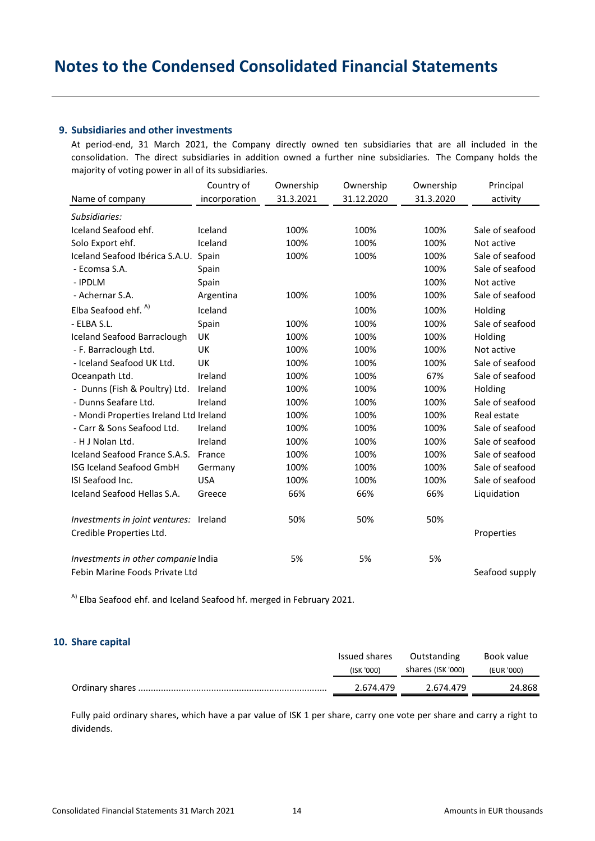### **9. Subsidiaries and other investments**

At period-end, 31 March 2021, the Company directly owned ten subsidiaries that are all included in the consolidation. The direct subsidiaries in addition owned a further nine subsidiaries. The Company holds the majority of voting power in all of its subsidiaries.

| Name of company                        | Country of<br>incorporation | Ownership<br>31.3.2021 | Ownership<br>31.12.2020 | Ownership<br>31.3.2020 | Principal<br>activity |
|----------------------------------------|-----------------------------|------------------------|-------------------------|------------------------|-----------------------|
|                                        |                             |                        |                         |                        |                       |
| Subsidiaries:                          |                             |                        |                         |                        |                       |
| Iceland Seafood ehf.                   | Iceland                     | 100%                   | 100%                    | 100%                   | Sale of seafood       |
| Solo Export ehf.                       | Iceland                     | 100%                   | 100%                    | 100%                   | Not active            |
| Iceland Seafood Ibérica S.A.U.         | Spain                       | 100%                   | 100%                    | 100%                   | Sale of seafood       |
| - Ecomsa S.A.                          | Spain                       |                        |                         | 100%                   | Sale of seafood       |
| - IPDLM                                | Spain                       |                        |                         | 100%                   | Not active            |
| - Achernar S.A.                        | Argentina                   | 100%                   | 100%                    | 100%                   | Sale of seafood       |
| Elba Seafood ehf. <sup>A)</sup>        | Iceland                     |                        | 100%                    | 100%                   | Holding               |
| - ELBA S.L.                            | Spain                       | 100%                   | 100%                    | 100%                   | Sale of seafood       |
| <b>Iceland Seafood Barraclough</b>     | UK                          | 100%                   | 100%                    | 100%                   | Holding               |
| - F. Barraclough Ltd.                  | UK                          | 100%                   | 100%                    | 100%                   | Not active            |
| - Iceland Seafood UK Ltd.              | UK                          | 100%                   | 100%                    | 100%                   | Sale of seafood       |
| Oceanpath Ltd.                         | Ireland                     | 100%                   | 100%                    | 67%                    | Sale of seafood       |
| - Dunns (Fish & Poultry) Ltd.          | Ireland                     | 100%                   | 100%                    | 100%                   | Holding               |
| - Dunns Seafare Ltd.                   | Ireland                     | 100%                   | 100%                    | 100%                   | Sale of seafood       |
| - Mondi Properties Ireland Ltd Ireland |                             | 100%                   | 100%                    | 100%                   | Real estate           |
| - Carr & Sons Seafood Ltd.             | Ireland                     | 100%                   | 100%                    | 100%                   | Sale of seafood       |
| - H J Nolan Ltd.                       | Ireland                     | 100%                   | 100%                    | 100%                   | Sale of seafood       |
| Iceland Seafood France S.A.S.          | France                      | 100%                   | 100%                    | 100%                   | Sale of seafood       |
| <b>ISG Iceland Seafood GmbH</b>        | Germany                     | 100%                   | 100%                    | 100%                   | Sale of seafood       |
| ISI Seafood Inc.                       | <b>USA</b>                  | 100%                   | 100%                    | 100%                   | Sale of seafood       |
| Iceland Seafood Hellas S.A.            | Greece                      | 66%                    | 66%                     | 66%                    | Liquidation           |
| Investments in joint ventures: Ireland |                             | 50%                    | 50%                     | 50%                    |                       |
| Credible Properties Ltd.               |                             |                        |                         |                        | Properties            |
| Investments in other companie India    |                             | 5%                     | 5%                      | 5%                     |                       |
| Febin Marine Foods Private Ltd         |                             |                        |                         |                        | Seafood supply        |

<sup>A)</sup> Elba Seafood ehf. and Iceland Seafood hf. merged in February 2021.

### **10. Share capital**

| Issued shares | Outstanding       | Book value |
|---------------|-------------------|------------|
| (ISK '000)    | shares (ISK '000) | (EUR '000) |
| 2.674.479     | 2.674.479         | 24.868     |

Fully paid ordinary shares, which have a par value of ISK 1 per share, carry one vote per share and carry a right to dividends.